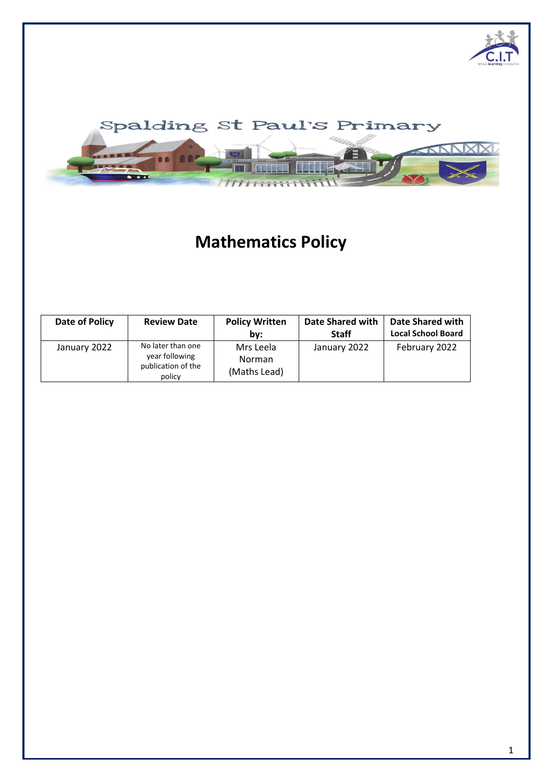



# **Mathematics Policy**

| Date of Policy | <b>Review Date</b>                                                  | <b>Policy Written</b><br>bv:               | <b>Date Shared with</b><br><b>Staff</b> | <b>Date Shared with</b><br><b>Local School Board</b> |
|----------------|---------------------------------------------------------------------|--------------------------------------------|-----------------------------------------|------------------------------------------------------|
| January 2022   | No later than one<br>year following<br>publication of the<br>policy | Mrs Leela<br><b>Norman</b><br>(Maths Lead) | January 2022                            | February 2022                                        |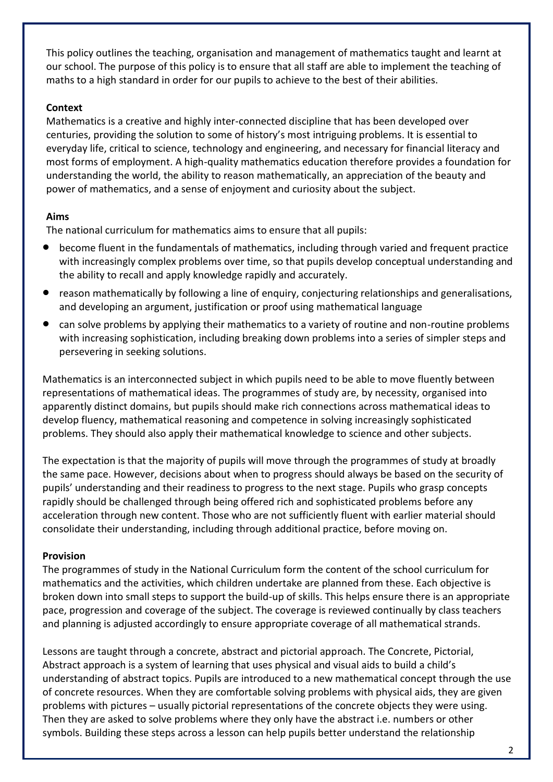This policy outlines the teaching, organisation and management of mathematics taught and learnt at our school. The purpose of this policy is to ensure that all staff are able to implement the teaching of maths to a high standard in order for our pupils to achieve to the best of their abilities.

### **Context**

Mathematics is a creative and highly inter-connected discipline that has been developed over centuries, providing the solution to some of history's most intriguing problems. It is essential to everyday life, critical to science, technology and engineering, and necessary for financial literacy and most forms of employment. A high-quality mathematics education therefore provides a foundation for understanding the world, the ability to reason mathematically, an appreciation of the beauty and power of mathematics, and a sense of enjoyment and curiosity about the subject.

### **Aims**

The national curriculum for mathematics aims to ensure that all pupils:

- become fluent in the fundamentals of mathematics, including through varied and frequent practice with increasingly complex problems over time, so that pupils develop conceptual understanding and the ability to recall and apply knowledge rapidly and accurately.
- reason mathematically by following a line of enquiry, conjecturing relationships and generalisations, and developing an argument, justification or proof using mathematical language
- can solve problems by applying their mathematics to a variety of routine and non-routine problems with increasing sophistication, including breaking down problems into a series of simpler steps and persevering in seeking solutions.

Mathematics is an interconnected subject in which pupils need to be able to move fluently between representations of mathematical ideas. The programmes of study are, by necessity, organised into apparently distinct domains, but pupils should make rich connections across mathematical ideas to develop fluency, mathematical reasoning and competence in solving increasingly sophisticated problems. They should also apply their mathematical knowledge to science and other subjects.

The expectation is that the majority of pupils will move through the programmes of study at broadly the same pace. However, decisions about when to progress should always be based on the security of pupils' understanding and their readiness to progress to the next stage. Pupils who grasp concepts rapidly should be challenged through being offered rich and sophisticated problems before any acceleration through new content. Those who are not sufficiently fluent with earlier material should consolidate their understanding, including through additional practice, before moving on.

### **Provision**

The programmes of study in the National Curriculum form the content of the school curriculum for mathematics and the activities, which children undertake are planned from these. Each objective is broken down into small steps to support the build-up of skills. This helps ensure there is an appropriate pace, progression and coverage of the subject. The coverage is reviewed continually by class teachers and planning is adjusted accordingly to ensure appropriate coverage of all mathematical strands.

Lessons are taught through a concrete, abstract and pictorial approach. The Concrete, Pictorial, Abstract approach is a system of learning that uses physical and visual aids to build a child's understanding of abstract topics. Pupils are introduced to a new mathematical concept through the use of concrete resources. When they are comfortable solving problems with physical aids, they are given problems with pictures – usually pictorial representations of the concrete objects they were using. Then they are asked to solve problems where they only have the abstract i.e. numbers or other symbols. Building these steps across a lesson can help pupils better understand the relationship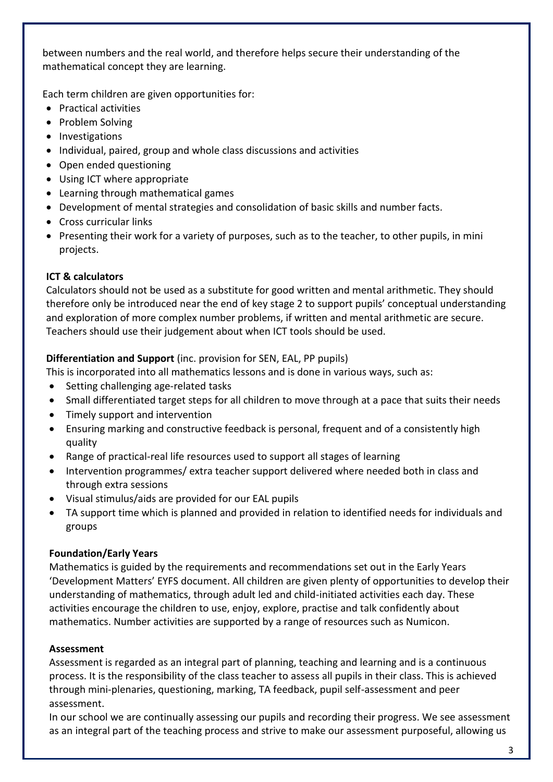between numbers and the real world, and therefore helps secure their understanding of the mathematical concept they are learning.

Each term children are given opportunities for:

- Practical activities
- Problem Solving
- Investigations
- Individual, paired, group and whole class discussions and activities
- Open ended questioning
- Using ICT where appropriate
- Learning through mathematical games
- Development of mental strategies and consolidation of basic skills and number facts.
- Cross curricular links
- Presenting their work for a variety of purposes, such as to the teacher, to other pupils, in mini projects.

# **ICT & calculators**

Calculators should not be used as a substitute for good written and mental arithmetic. They should therefore only be introduced near the end of key stage 2 to support pupils' conceptual understanding and exploration of more complex number problems, if written and mental arithmetic are secure. Teachers should use their judgement about when ICT tools should be used.

# **Differentiation and Support** (inc. provision for SEN, EAL, PP pupils)

- This is incorporated into all mathematics lessons and is done in various ways, such as:
- Setting challenging age-related tasks
- Small differentiated target steps for all children to move through at a pace that suits their needs
- Timely support and intervention
- Ensuring marking and constructive feedback is personal, frequent and of a consistently high quality
- Range of practical-real life resources used to support all stages of learning
- Intervention programmes/ extra teacher support delivered where needed both in class and through extra sessions
- Visual stimulus/aids are provided for our EAL pupils
- TA support time which is planned and provided in relation to identified needs for individuals and groups

# **Foundation/Early Years**

Mathematics is guided by the requirements and recommendations set out in the Early Years 'Development Matters' EYFS document. All children are given plenty of opportunities to develop their understanding of mathematics, through adult led and child-initiated activities each day. These activities encourage the children to use, enjoy, explore, practise and talk confidently about mathematics. Number activities are supported by a range of resources such as Numicon.

# **Assessment**

Assessment is regarded as an integral part of planning, teaching and learning and is a continuous process. It is the responsibility of the class teacher to assess all pupils in their class. This is achieved through mini-plenaries, questioning, marking, TA feedback, pupil self-assessment and peer assessment.

In our school we are continually assessing our pupils and recording their progress. We see assessment as an integral part of the teaching process and strive to make our assessment purposeful, allowing us